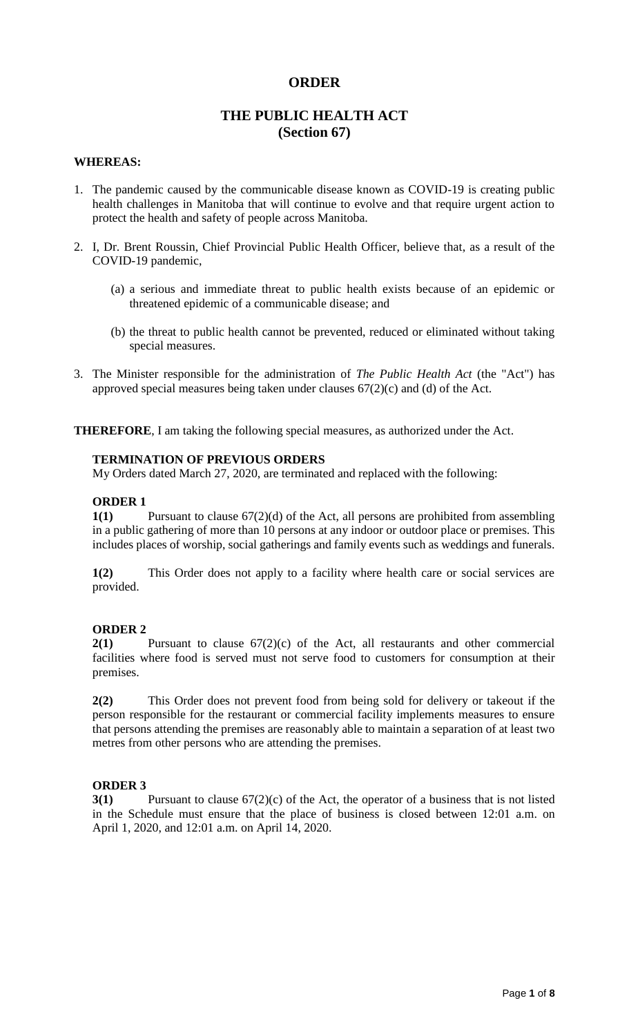# **ORDER**

# **THE PUBLIC HEALTH ACT (Section 67)**

#### **WHEREAS:**

- 1. The pandemic caused by the communicable disease known as COVID-19 is creating public health challenges in Manitoba that will continue to evolve and that require urgent action to protect the health and safety of people across Manitoba.
- 2. I, Dr. Brent Roussin, Chief Provincial Public Health Officer, believe that, as a result of the COVID-19 pandemic,
	- (a) a serious and immediate threat to public health exists because of an epidemic or threatened epidemic of a communicable disease; and
	- (b) the threat to public health cannot be prevented, reduced or eliminated without taking special measures.
- 3. The Minister responsible for the administration of *The Public Health Act* (the "Act") has approved special measures being taken under clauses 67(2)(c) and (d) of the Act.

**THEREFORE**, I am taking the following special measures, as authorized under the Act.

#### **TERMINATION OF PREVIOUS ORDERS**

My Orders dated March 27, 2020, are terminated and replaced with the following:

#### **ORDER 1**

**1(1)** Pursuant to clause 67(2)(d) of the Act, all persons are prohibited from assembling in a public gathering of more than 10 persons at any indoor or outdoor place or premises. This includes places of worship, social gatherings and family events such as weddings and funerals.

**1(2)** This Order does not apply to a facility where health care or social services are provided.

#### **ORDER 2**

**2(1)** Pursuant to clause 67(2)(c) of the Act, all restaurants and other commercial facilities where food is served must not serve food to customers for consumption at their premises.

**2(2)** This Order does not prevent food from being sold for delivery or takeout if the person responsible for the restaurant or commercial facility implements measures to ensure that persons attending the premises are reasonably able to maintain a separation of at least two metres from other persons who are attending the premises.

#### **ORDER 3**

**3(1)** Pursuant to clause 67(2)(c) of the Act, the operator of a business that is not listed in the Schedule must ensure that the place of business is closed between 12:01 a.m. on April 1, 2020, and 12:01 a.m. on April 14, 2020.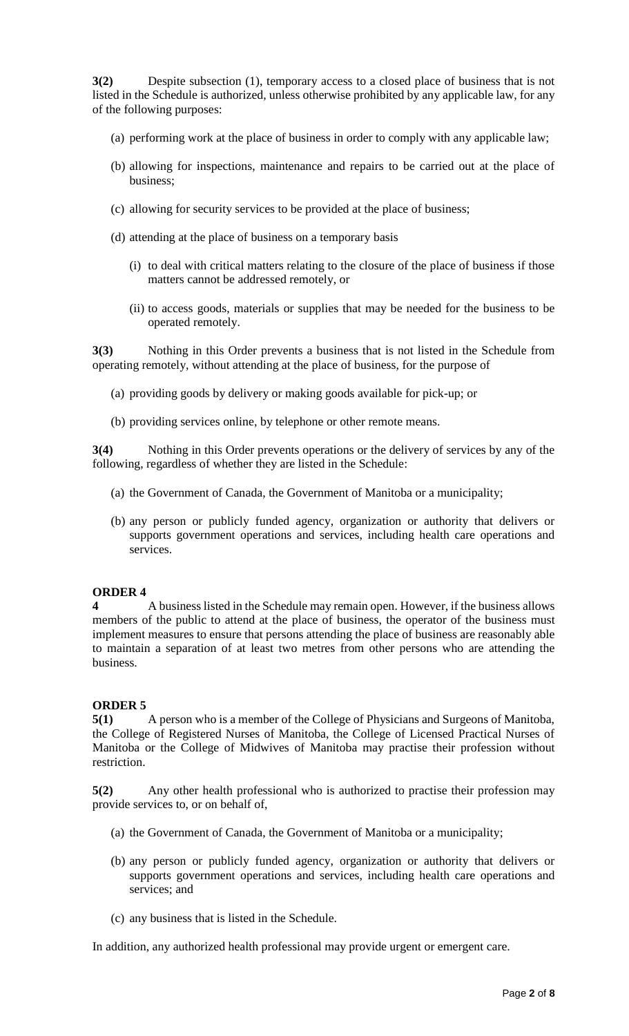**3(2)** Despite subsection (1), temporary access to a closed place of business that is not listed in the Schedule is authorized, unless otherwise prohibited by any applicable law, for any of the following purposes:

- (a) performing work at the place of business in order to comply with any applicable law;
- (b) allowing for inspections, maintenance and repairs to be carried out at the place of business;
- (c) allowing for security services to be provided at the place of business;
- (d) attending at the place of business on a temporary basis
	- (i) to deal with critical matters relating to the closure of the place of business if those matters cannot be addressed remotely, or
	- (ii) to access goods, materials or supplies that may be needed for the business to be operated remotely.

**3(3)** Nothing in this Order prevents a business that is not listed in the Schedule from operating remotely, without attending at the place of business, for the purpose of

- (a) providing goods by delivery or making goods available for pick-up; or
- (b) providing services online, by telephone or other remote means.

**3(4)** Nothing in this Order prevents operations or the delivery of services by any of the following, regardless of whether they are listed in the Schedule:

- (a) the Government of Canada, the Government of Manitoba or a municipality;
- (b) any person or publicly funded agency, organization or authority that delivers or supports government operations and services, including health care operations and services.

## **ORDER 4**

**4** A business listed in the Schedule may remain open. However, if the business allows members of the public to attend at the place of business, the operator of the business must implement measures to ensure that persons attending the place of business are reasonably able to maintain a separation of at least two metres from other persons who are attending the business.

## **ORDER 5**

**5(1)** A person who is a member of the College of Physicians and Surgeons of Manitoba, the College of Registered Nurses of Manitoba, the College of Licensed Practical Nurses of Manitoba or the College of Midwives of Manitoba may practise their profession without restriction.

**5(2)** Any other health professional who is authorized to practise their profession may provide services to, or on behalf of,

- (a) the Government of Canada, the Government of Manitoba or a municipality;
- (b) any person or publicly funded agency, organization or authority that delivers or supports government operations and services, including health care operations and services; and
- (c) any business that is listed in the Schedule.

In addition, any authorized health professional may provide urgent or emergent care.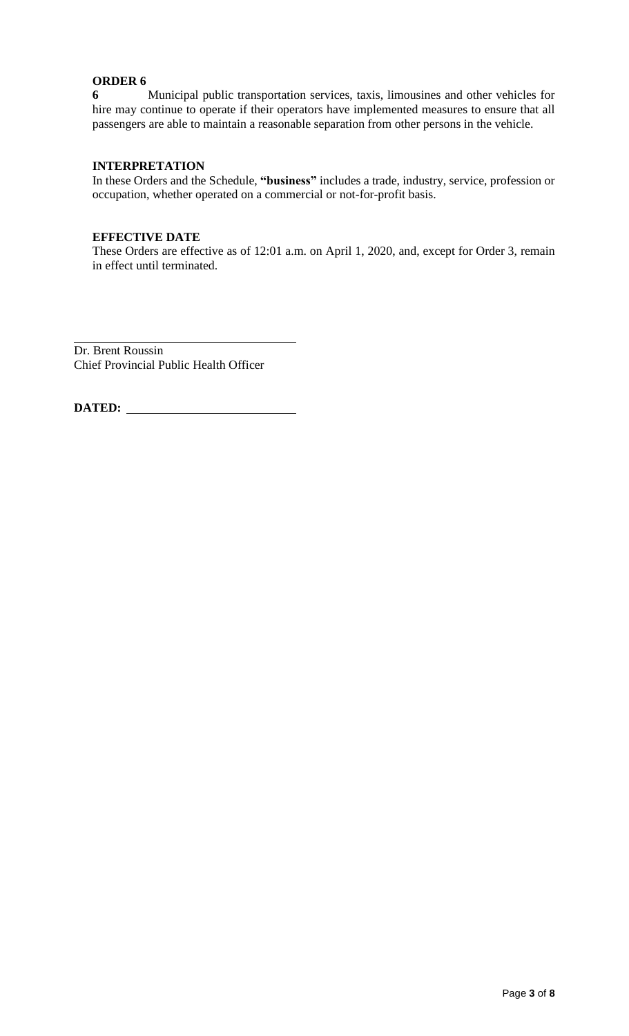# **ORDER 6**

**6** Municipal public transportation services, taxis, limousines and other vehicles for hire may continue to operate if their operators have implemented measures to ensure that all passengers are able to maintain a reasonable separation from other persons in the vehicle.

## **INTERPRETATION**

In these Orders and the Schedule, **"business"** includes a trade, industry, service, profession or occupation, whether operated on a commercial or not-for-profit basis.

## **EFFECTIVE DATE**

These Orders are effective as of 12:01 a.m. on April 1, 2020, and, except for Order 3, remain in effect until terminated.

Dr. Brent Roussin Chief Provincial Public Health Officer

**DATED:**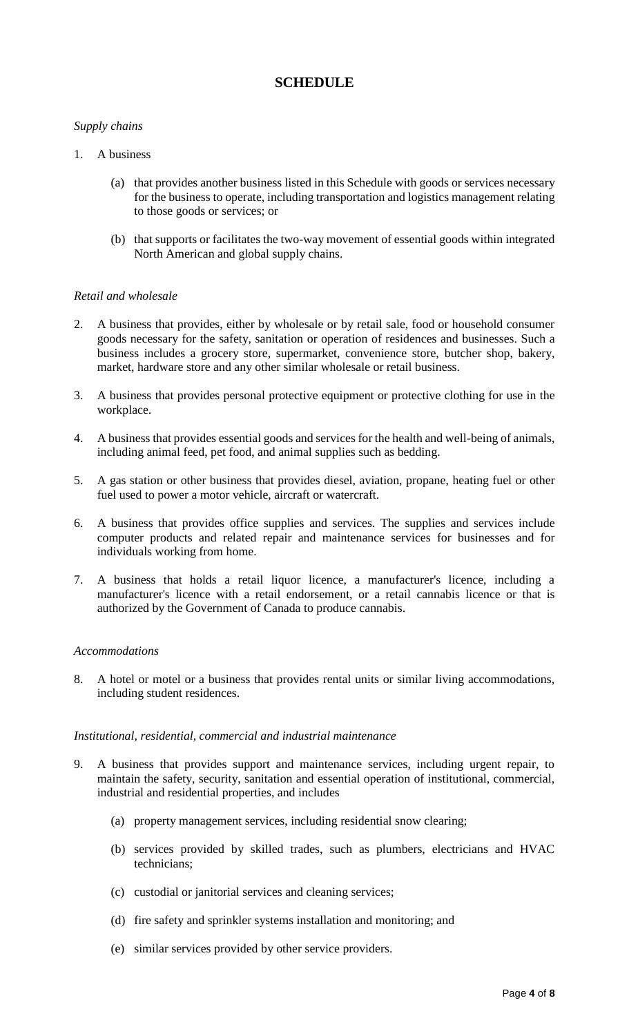# **SCHEDULE**

# *Supply chains*

- 1. A business
	- (a) that provides another business listed in this Schedule with goods or services necessary for the business to operate, including transportation and logistics management relating to those goods or services; or
	- (b) that supports or facilitates the two-way movement of essential goods within integrated North American and global supply chains.

## *Retail and wholesale*

- 2. A business that provides, either by wholesale or by retail sale, food or household consumer goods necessary for the safety, sanitation or operation of residences and businesses. Such a business includes a grocery store, supermarket, convenience store, butcher shop, bakery, market, hardware store and any other similar wholesale or retail business.
- 3. A business that provides personal protective equipment or protective clothing for use in the workplace.
- 4. A business that provides essential goods and services for the health and well-being of animals, including animal feed, pet food, and animal supplies such as bedding.
- 5. A gas station or other business that provides diesel, aviation, propane, heating fuel or other fuel used to power a motor vehicle, aircraft or watercraft.
- 6. A business that provides office supplies and services. The supplies and services include computer products and related repair and maintenance services for businesses and for individuals working from home.
- 7. A business that holds a retail liquor licence, a manufacturer's licence, including a manufacturer's licence with a retail endorsement, or a retail cannabis licence or that is authorized by the Government of Canada to produce cannabis.

## *Accommodations*

8. A hotel or motel or a business that provides rental units or similar living accommodations, including student residences.

## *Institutional, residential, commercial and industrial maintenance*

- 9. A business that provides support and maintenance services, including urgent repair, to maintain the safety, security, sanitation and essential operation of institutional, commercial, industrial and residential properties, and includes
	- (a) property management services, including residential snow clearing;
	- (b) services provided by skilled trades, such as plumbers, electricians and HVAC technicians;
	- (c) custodial or janitorial services and cleaning services;
	- (d) fire safety and sprinkler systems installation and monitoring; and
	- (e) similar services provided by other service providers.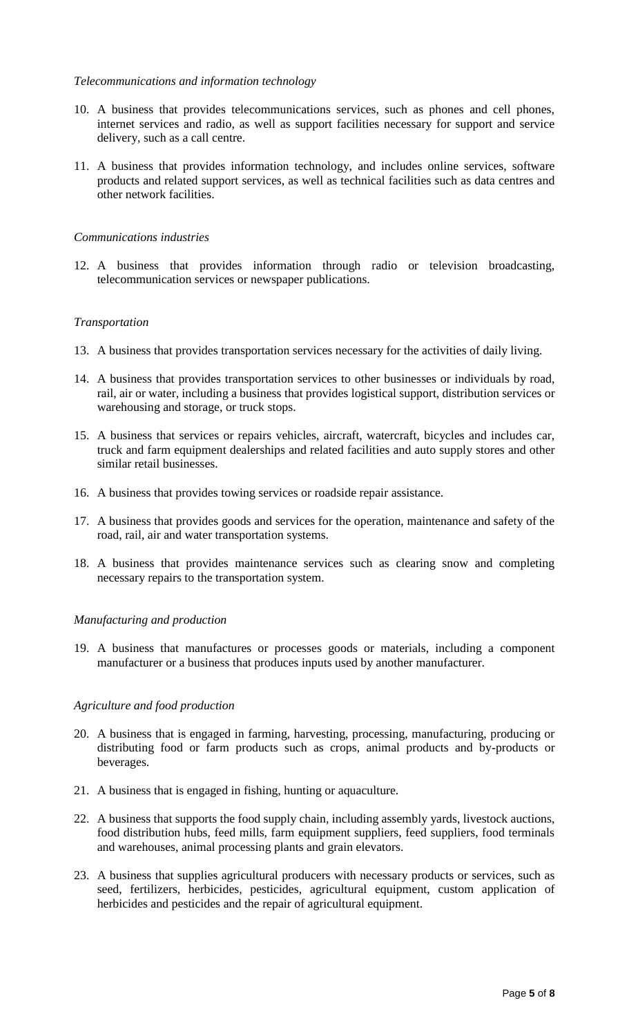## *Telecommunications and information technology*

- 10. A business that provides telecommunications services, such as phones and cell phones, internet services and radio, as well as support facilities necessary for support and service delivery, such as a call centre.
- 11. A business that provides information technology, and includes online services, software products and related support services, as well as technical facilities such as data centres and other network facilities.

## *Communications industries*

12. A business that provides information through radio or television broadcasting, telecommunication services or newspaper publications.

## *Transportation*

- 13. A business that provides transportation services necessary for the activities of daily living.
- 14. A business that provides transportation services to other businesses or individuals by road, rail, air or water, including a business that provides logistical support, distribution services or warehousing and storage, or truck stops.
- 15. A business that services or repairs vehicles, aircraft, watercraft, bicycles and includes car, truck and farm equipment dealerships and related facilities and auto supply stores and other similar retail businesses.
- 16. A business that provides towing services or roadside repair assistance.
- 17. A business that provides goods and services for the operation, maintenance and safety of the road, rail, air and water transportation systems.
- 18. A business that provides maintenance services such as clearing snow and completing necessary repairs to the transportation system.

## *Manufacturing and production*

19. A business that manufactures or processes goods or materials, including a component manufacturer or a business that produces inputs used by another manufacturer.

## *Agriculture and food production*

- 20. A business that is engaged in farming, harvesting, processing, manufacturing, producing or distributing food or farm products such as crops, animal products and by-products or beverages.
- 21. A business that is engaged in fishing, hunting or aquaculture.
- 22. A business that supports the food supply chain, including assembly yards, livestock auctions, food distribution hubs, feed mills, farm equipment suppliers, feed suppliers, food terminals and warehouses, animal processing plants and grain elevators.
- 23. A business that supplies agricultural producers with necessary products or services, such as seed, fertilizers, herbicides, pesticides, agricultural equipment, custom application of herbicides and pesticides and the repair of agricultural equipment.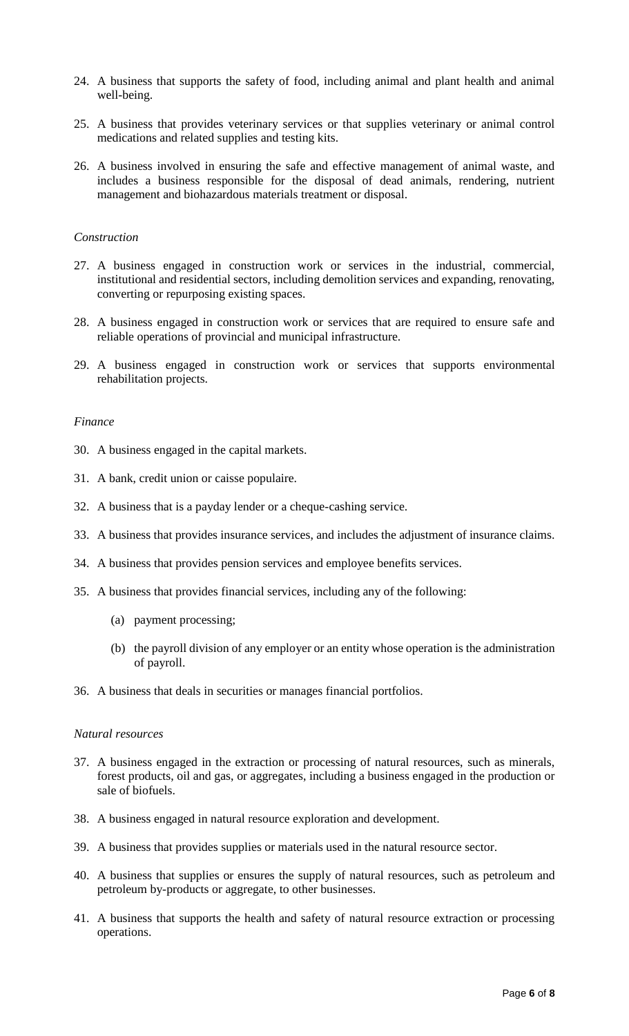- 24. A business that supports the safety of food, including animal and plant health and animal well-being.
- 25. A business that provides veterinary services or that supplies veterinary or animal control medications and related supplies and testing kits.
- 26. A business involved in ensuring the safe and effective management of animal waste, and includes a business responsible for the disposal of dead animals, rendering, nutrient management and biohazardous materials treatment or disposal.

## *Construction*

- 27. A business engaged in construction work or services in the industrial, commercial, institutional and residential sectors, including demolition services and expanding, renovating, converting or repurposing existing spaces.
- 28. A business engaged in construction work or services that are required to ensure safe and reliable operations of provincial and municipal infrastructure.
- 29. A business engaged in construction work or services that supports environmental rehabilitation projects.

#### *Finance*

- 30. A business engaged in the capital markets.
- 31. A bank, credit union or caisse populaire.
- 32. A business that is a payday lender or a cheque-cashing service.
- 33. A business that provides insurance services, and includes the adjustment of insurance claims.
- 34. A business that provides pension services and employee benefits services.
- 35. A business that provides financial services, including any of the following:
	- (a) payment processing;
	- (b) the payroll division of any employer or an entity whose operation is the administration of payroll.
- 36. A business that deals in securities or manages financial portfolios.

## *Natural resources*

- 37. A business engaged in the extraction or processing of natural resources, such as minerals, forest products, oil and gas, or aggregates, including a business engaged in the production or sale of biofuels.
- 38. A business engaged in natural resource exploration and development.
- 39. A business that provides supplies or materials used in the natural resource sector.
- 40. A business that supplies or ensures the supply of natural resources, such as petroleum and petroleum by-products or aggregate, to other businesses.
- 41. A business that supports the health and safety of natural resource extraction or processing operations.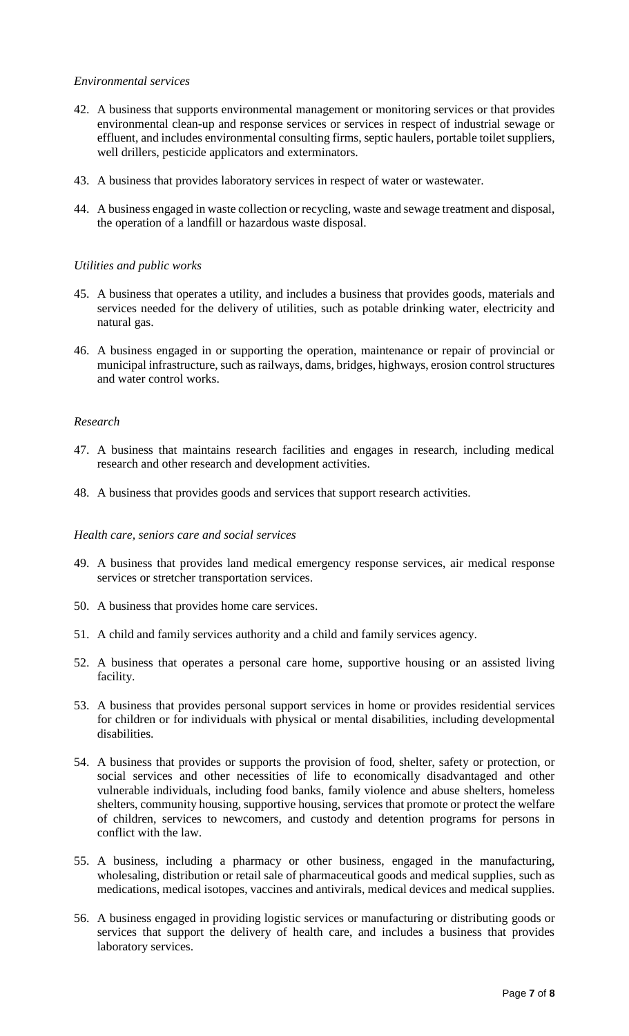## *Environmental services*

- 42. A business that supports environmental management or monitoring services or that provides environmental clean-up and response services or services in respect of industrial sewage or effluent, and includes environmental consulting firms, septic haulers, portable toilet suppliers, well drillers, pesticide applicators and exterminators.
- 43. A business that provides laboratory services in respect of water or wastewater.
- 44. A business engaged in waste collection or recycling, waste and sewage treatment and disposal, the operation of a landfill or hazardous waste disposal.

## *Utilities and public works*

- 45. A business that operates a utility, and includes a business that provides goods, materials and services needed for the delivery of utilities, such as potable drinking water, electricity and natural gas.
- 46. A business engaged in or supporting the operation, maintenance or repair of provincial or municipal infrastructure, such as railways, dams, bridges, highways, erosion control structures and water control works.

## *Research*

- 47. A business that maintains research facilities and engages in research, including medical research and other research and development activities.
- 48. A business that provides goods and services that support research activities.

#### *Health care, seniors care and social services*

- 49. A business that provides land medical emergency response services, air medical response services or stretcher transportation services.
- 50. A business that provides home care services.
- 51. A child and family services authority and a child and family services agency.
- 52. A business that operates a personal care home, supportive housing or an assisted living facility.
- 53. A business that provides personal support services in home or provides residential services for children or for individuals with physical or mental disabilities, including developmental disabilities.
- 54. A business that provides or supports the provision of food, shelter, safety or protection, or social services and other necessities of life to economically disadvantaged and other vulnerable individuals, including food banks, family violence and abuse shelters, homeless shelters, community housing, supportive housing, services that promote or protect the welfare of children, services to newcomers, and custody and detention programs for persons in conflict with the law.
- 55. A business, including a pharmacy or other business, engaged in the manufacturing, wholesaling, distribution or retail sale of pharmaceutical goods and medical supplies, such as medications, medical isotopes, vaccines and antivirals, medical devices and medical supplies.
- 56. A business engaged in providing logistic services or manufacturing or distributing goods or services that support the delivery of health care, and includes a business that provides laboratory services.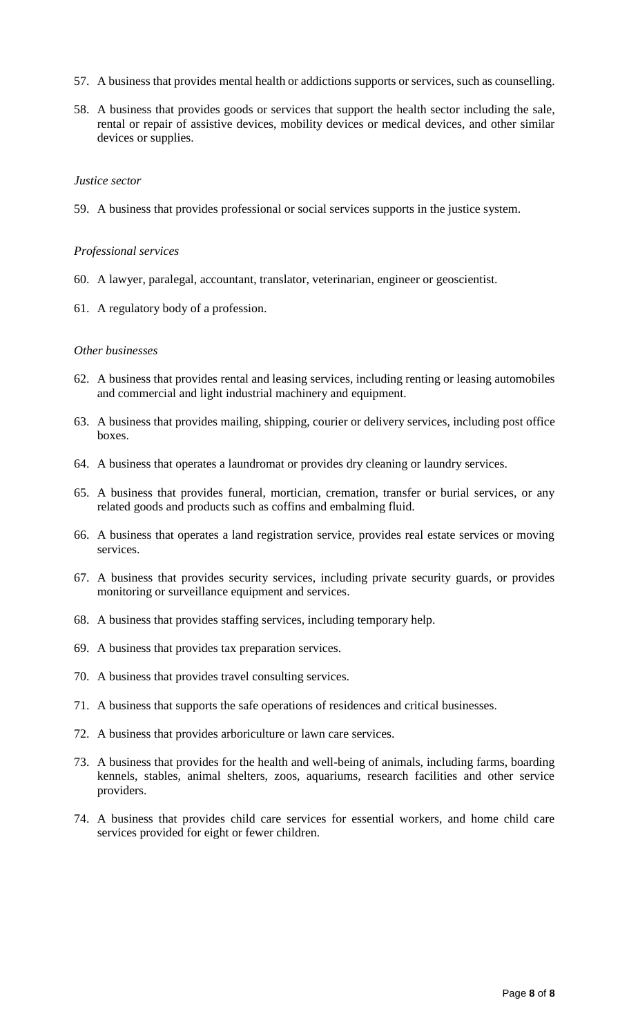- 57. A business that provides mental health or addictions supports or services, such as counselling.
- 58. A business that provides goods or services that support the health sector including the sale, rental or repair of assistive devices, mobility devices or medical devices, and other similar devices or supplies.

#### *Justice sector*

59. A business that provides professional or social services supports in the justice system.

#### *Professional services*

- 60. A lawyer, paralegal, accountant, translator, veterinarian, engineer or geoscientist.
- 61. A regulatory body of a profession.

## *Other businesses*

- 62. A business that provides rental and leasing services, including renting or leasing automobiles and commercial and light industrial machinery and equipment.
- 63. A business that provides mailing, shipping, courier or delivery services, including post office boxes.
- 64. A business that operates a laundromat or provides dry cleaning or laundry services.
- 65. A business that provides funeral, mortician, cremation, transfer or burial services, or any related goods and products such as coffins and embalming fluid.
- 66. A business that operates a land registration service, provides real estate services or moving services.
- 67. A business that provides security services, including private security guards, or provides monitoring or surveillance equipment and services.
- 68. A business that provides staffing services, including temporary help.
- 69. A business that provides tax preparation services.
- 70. A business that provides travel consulting services.
- 71. A business that supports the safe operations of residences and critical businesses.
- 72. A business that provides arboriculture or lawn care services.
- 73. A business that provides for the health and well-being of animals, including farms, boarding kennels, stables, animal shelters, zoos, aquariums, research facilities and other service providers.
- 74. A business that provides child care services for essential workers, and home child care services provided for eight or fewer children.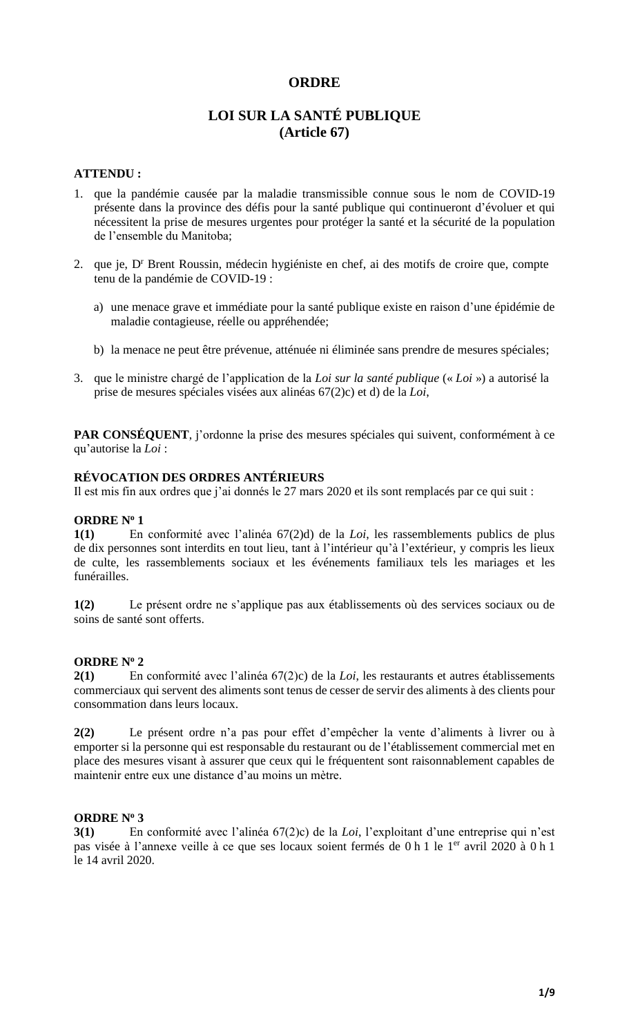# **ORDRE**

# **LOI SUR LA SANTÉ PUBLIQUE (Article 67)**

## **ATTENDU :**

- 1. que la pandémie causée par la maladie transmissible connue sous le nom de COVID-19 présente dans la province des défis pour la santé publique qui continueront d'évoluer et qui nécessitent la prise de mesures urgentes pour protéger la santé et la sécurité de la population de l'ensemble du Manitoba;
- 2. que je, D<sup>r</sup> Brent Roussin, médecin hygiéniste en chef, ai des motifs de croire que, compte tenu de la pandémie de COVID-19 :
	- a) une menace grave et immédiate pour la santé publique existe en raison d'une épidémie de maladie contagieuse, réelle ou appréhendée;
	- b) la menace ne peut être prévenue, atténuée ni éliminée sans prendre de mesures spéciales;
- 3. que le ministre chargé de l'application de la *Loi sur la santé publique* (« *Loi* ») a autorisé la prise de mesures spéciales visées aux alinéas 67(2)c) et d) de la *Loi*,

**PAR CONSÉQUENT**, j'ordonne la prise des mesures spéciales qui suivent, conformément à ce qu'autorise la *Loi* :

## **RÉVOCATION DES ORDRES ANTÉRIEURS**

Il est mis fin aux ordres que j'ai donnés le 27 mars 2020 et ils sont remplacés par ce qui suit :

## **ORDRE N<sup>o</sup> 1**

**1(1)** En conformité avec l'alinéa 67(2)d) de la *Loi*, les rassemblements publics de plus de dix personnes sont interdits en tout lieu, tant à l'intérieur qu'à l'extérieur, y compris les lieux de culte, les rassemblements sociaux et les événements familiaux tels les mariages et les funérailles.

**1(2)** Le présent ordre ne s'applique pas aux établissements où des services sociaux ou de soins de santé sont offerts.

#### **ORDRE N<sup>o</sup> 2**

**2(1)** En conformité avec l'alinéa 67(2)c) de la *Loi*, les restaurants et autres établissements commerciaux qui servent des aliments sont tenus de cesser de servir des aliments à des clients pour consommation dans leurs locaux.

**2(2)** Le présent ordre n'a pas pour effet d'empêcher la vente d'aliments à livrer ou à emporter si la personne qui est responsable du restaurant ou de l'établissement commercial met en place des mesures visant à assurer que ceux qui le fréquentent sont raisonnablement capables de maintenir entre eux une distance d'au moins un mètre.

## **ORDRE N<sup>o</sup> 3**

**3(1)** En conformité avec l'alinéa 67(2)c) de la *Loi*, l'exploitant d'une entreprise qui n'est pas visée à l'annexe veille à ce que ses locaux soient fermés de 0 h 1 le 1<sup>er</sup> avril 2020 à 0 h 1 le 14 avril 2020.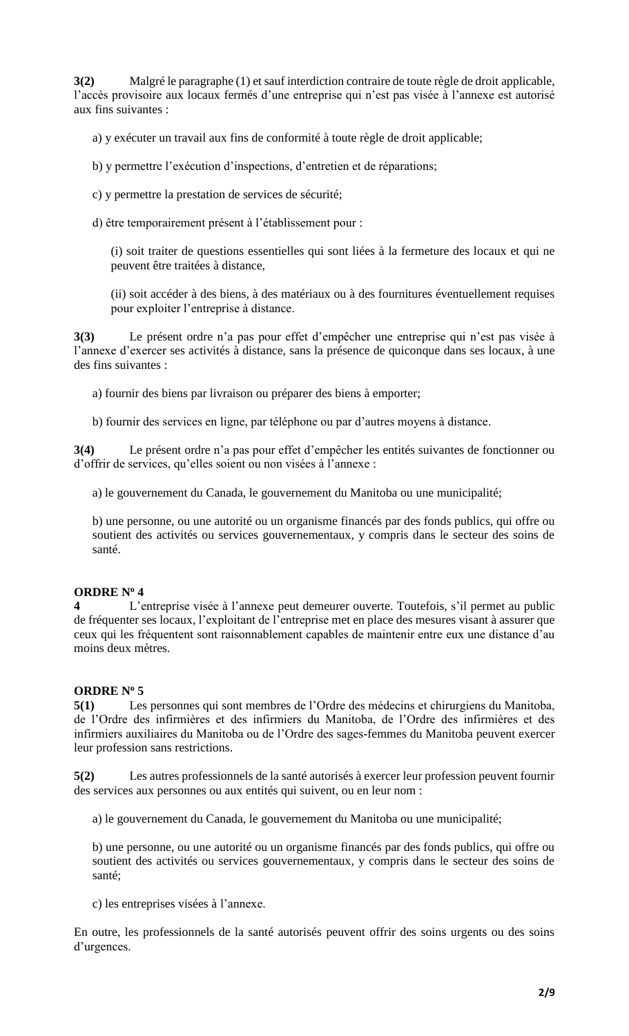**3(2)** Malgré le paragraphe (1) et sauf interdiction contraire de toute règle de droit applicable, l'accès provisoire aux locaux fermés d'une entreprise qui n'est pas visée à l'annexe est autorisé aux fins suivantes :

a) y exécuter un travail aux fins de conformité à toute règle de droit applicable;

- b) y permettre l'exécution d'inspections, d'entretien et de réparations;
- c) y permettre la prestation de services de sécurité;
- d) être temporairement présent à l'établissement pour :

(i) soit traiter de questions essentielles qui sont liées à la fermeture des locaux et qui ne peuvent être traitées à distance,

(ii) soit accéder à des biens, à des matériaux ou à des fournitures éventuellement requises pour exploiter l'entreprise à distance.

**3(3)** Le présent ordre n'a pas pour effet d'empêcher une entreprise qui n'est pas visée à l'annexe d'exercer ses activités à distance, sans la présence de quiconque dans ses locaux, à une des fins suivantes :

- a) fournir des biens par livraison ou préparer des biens à emporter;
- b) fournir des services en ligne, par téléphone ou par d'autres moyens à distance.

**3(4)** Le présent ordre n'a pas pour effet d'empêcher les entités suivantes de fonctionner ou d'offrir de services, qu'elles soient ou non visées à l'annexe :

a) le gouvernement du Canada, le gouvernement du Manitoba ou une municipalité;

b) une personne, ou une autorité ou un organisme financés par des fonds publics, qui offre ou soutient des activités ou services gouvernementaux, y compris dans le secteur des soins de santé.

# **ORDRE N<sup>o</sup> 4**

**4** L'entreprise visée à l'annexe peut demeurer ouverte. Toutefois, s'il permet au public de fréquenter ses locaux, l'exploitant de l'entreprise met en place des mesures visant à assurer que ceux qui les fréquentent sont raisonnablement capables de maintenir entre eux une distance d'au moins deux mètres.

## **ORDRE N<sup>o</sup> 5**

**5(1)** Les personnes qui sont membres de l'Ordre des médecins et chirurgiens du Manitoba, de l'Ordre des infirmières et des infirmiers du Manitoba, de l'Ordre des infirmières et des infirmiers auxiliaires du Manitoba ou de l'Ordre des sages-femmes du Manitoba peuvent exercer leur profession sans restrictions.

**5(2)** Les autres professionnels de la santé autorisés à exercer leur profession peuvent fournir des services aux personnes ou aux entités qui suivent, ou en leur nom :

a) le gouvernement du Canada, le gouvernement du Manitoba ou une municipalité;

b) une personne, ou une autorité ou un organisme financés par des fonds publics, qui offre ou soutient des activités ou services gouvernementaux, y compris dans le secteur des soins de santé;

c) les entreprises visées à l'annexe.

En outre, les professionnels de la santé autorisés peuvent offrir des soins urgents ou des soins d'urgences.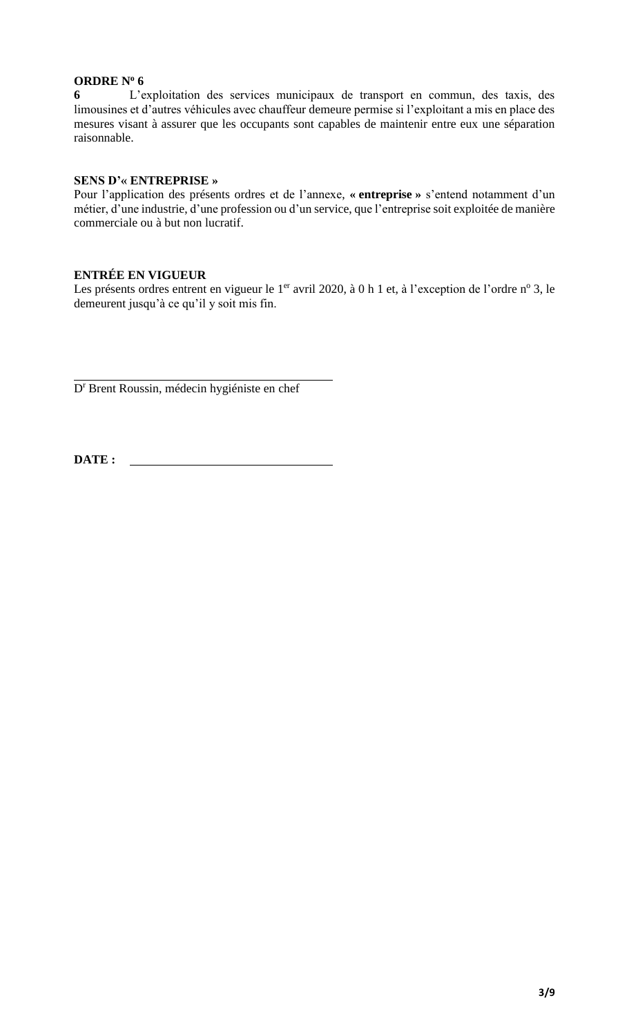# **ORDRE N<sup>o</sup> 6**

**6** L'exploitation des services municipaux de transport en commun, des taxis, des limousines et d'autres véhicules avec chauffeur demeure permise si l'exploitant a mis en place des mesures visant à assurer que les occupants sont capables de maintenir entre eux une séparation raisonnable.

## **SENS D'« ENTREPRISE »**

Pour l'application des présents ordres et de l'annexe, **« entreprise »** s'entend notamment d'un métier, d'une industrie, d'une profession ou d'un service, que l'entreprise soit exploitée de manière commerciale ou à but non lucratif.

# **ENTRÉE EN VIGUEUR**

Les présents ordres entrent en vigueur le 1<sup>er</sup> avril 2020, à 0 h 1 et, à l'exception de l'ordre n<sup>o</sup> 3, le demeurent jusqu'à ce qu'il y soit mis fin.

D<sup>r</sup> Brent Roussin, médecin hygiéniste en chef

**DATE :**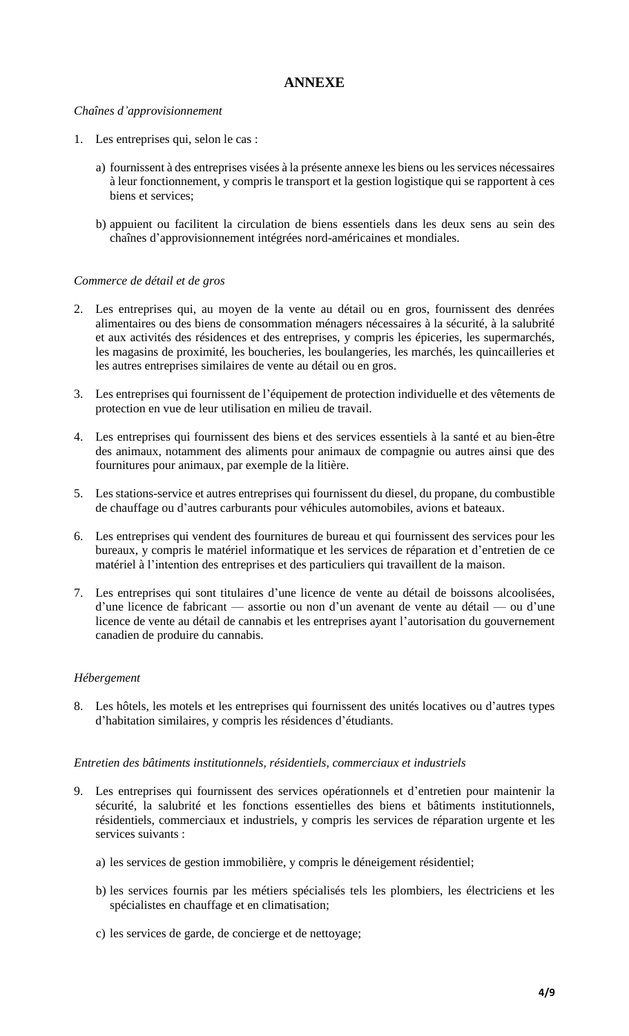# **ANNEXE**

## *Chaînes d'approvisionnement*

- 1. Les entreprises qui, selon le cas :
	- a) fournissent à des entreprises visées à la présente annexe les biens ou les services nécessaires à leur fonctionnement, y compris le transport et la gestion logistique qui se rapportent à ces biens et services;
	- b) appuient ou facilitent la circulation de biens essentiels dans les deux sens au sein des chaînes d'approvisionnement intégrées nord-américaines et mondiales.

# *Commerce de détail et de gros*

- 2. Les entreprises qui, au moyen de la vente au détail ou en gros, fournissent des denrées alimentaires ou des biens de consommation ménagers nécessaires à la sécurité, à la salubrité et aux activités des résidences et des entreprises, y compris les épiceries, les supermarchés, les magasins de proximité, les boucheries, les boulangeries, les marchés, les quincailleries et les autres entreprises similaires de vente au détail ou en gros.
- 3. Les entreprises qui fournissent de l'équipement de protection individuelle et des vêtements de protection en vue de leur utilisation en milieu de travail.
- 4. Les entreprises qui fournissent des biens et des services essentiels à la santé et au bien-être des animaux, notamment des aliments pour animaux de compagnie ou autres ainsi que des fournitures pour animaux, par exemple de la litière.
- 5. Les stations-service et autres entreprises qui fournissent du diesel, du propane, du combustible de chauffage ou d'autres carburants pour véhicules automobiles, avions et bateaux.
- 6. Les entreprises qui vendent des fournitures de bureau et qui fournissent des services pour les bureaux, y compris le matériel informatique et les services de réparation et d'entretien de ce matériel à l'intention des entreprises et des particuliers qui travaillent de la maison.
- 7. Les entreprises qui sont titulaires d'une licence de vente au détail de boissons alcoolisées, d'une licence de fabricant — assortie ou non d'un avenant de vente au détail — ou d'une licence de vente au détail de cannabis et les entreprises ayant l'autorisation du gouvernement canadien de produire du cannabis.

## *Hébergement*

8. Les hôtels, les motels et les entreprises qui fournissent des unités locatives ou d'autres types d'habitation similaires, y compris les résidences d'étudiants.

## *Entretien des bâtiments institutionnels, résidentiels, commerciaux et industriels*

- 9. Les entreprises qui fournissent des services opérationnels et d'entretien pour maintenir la sécurité, la salubrité et les fonctions essentielles des biens et bâtiments institutionnels, résidentiels, commerciaux et industriels, y compris les services de réparation urgente et les services suivants :
	- a) les services de gestion immobilière, y compris le déneigement résidentiel;
	- b) les services fournis par les métiers spécialisés tels les plombiers, les électriciens et les spécialistes en chauffage et en climatisation;
	- c) les services de garde, de concierge et de nettoyage;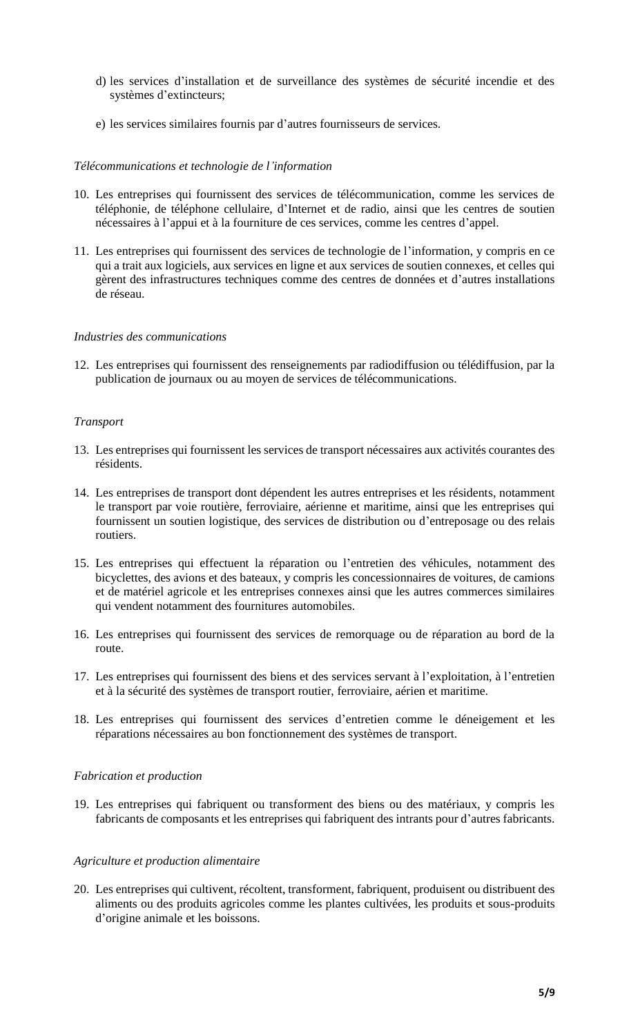- d) les services d'installation et de surveillance des systèmes de sécurité incendie et des systèmes d'extincteurs;
- e) les services similaires fournis par d'autres fournisseurs de services.

## *Télécommunications et technologie de l'information*

- 10. Les entreprises qui fournissent des services de télécommunication, comme les services de téléphonie, de téléphone cellulaire, d'Internet et de radio, ainsi que les centres de soutien nécessaires à l'appui et à la fourniture de ces services, comme les centres d'appel.
- 11. Les entreprises qui fournissent des services de technologie de l'information, y compris en ce qui a trait aux logiciels, aux services en ligne et aux services de soutien connexes, et celles qui gèrent des infrastructures techniques comme des centres de données et d'autres installations de réseau.

# *Industries des communications*

12. Les entreprises qui fournissent des renseignements par radiodiffusion ou télédiffusion, par la publication de journaux ou au moyen de services de télécommunications.

# *Transport*

- 13. Les entreprises qui fournissent les services de transport nécessaires aux activités courantes des résidents.
- 14. Les entreprises de transport dont dépendent les autres entreprises et les résidents, notamment le transport par voie routière, ferroviaire, aérienne et maritime, ainsi que les entreprises qui fournissent un soutien logistique, des services de distribution ou d'entreposage ou des relais routiers.
- 15. Les entreprises qui effectuent la réparation ou l'entretien des véhicules, notamment des bicyclettes, des avions et des bateaux, y compris les concessionnaires de voitures, de camions et de matériel agricole et les entreprises connexes ainsi que les autres commerces similaires qui vendent notamment des fournitures automobiles.
- 16. Les entreprises qui fournissent des services de remorquage ou de réparation au bord de la route.
- 17. Les entreprises qui fournissent des biens et des services servant à l'exploitation, à l'entretien et à la sécurité des systèmes de transport routier, ferroviaire, aérien et maritime.
- 18. Les entreprises qui fournissent des services d'entretien comme le déneigement et les réparations nécessaires au bon fonctionnement des systèmes de transport.

## *Fabrication et production*

19. Les entreprises qui fabriquent ou transforment des biens ou des matériaux, y compris les fabricants de composants et les entreprises qui fabriquent des intrants pour d'autres fabricants.

## *Agriculture et production alimentaire*

20. Les entreprises qui cultivent, récoltent, transforment, fabriquent, produisent ou distribuent des aliments ou des produits agricoles comme les plantes cultivées, les produits et sous-produits d'origine animale et les boissons.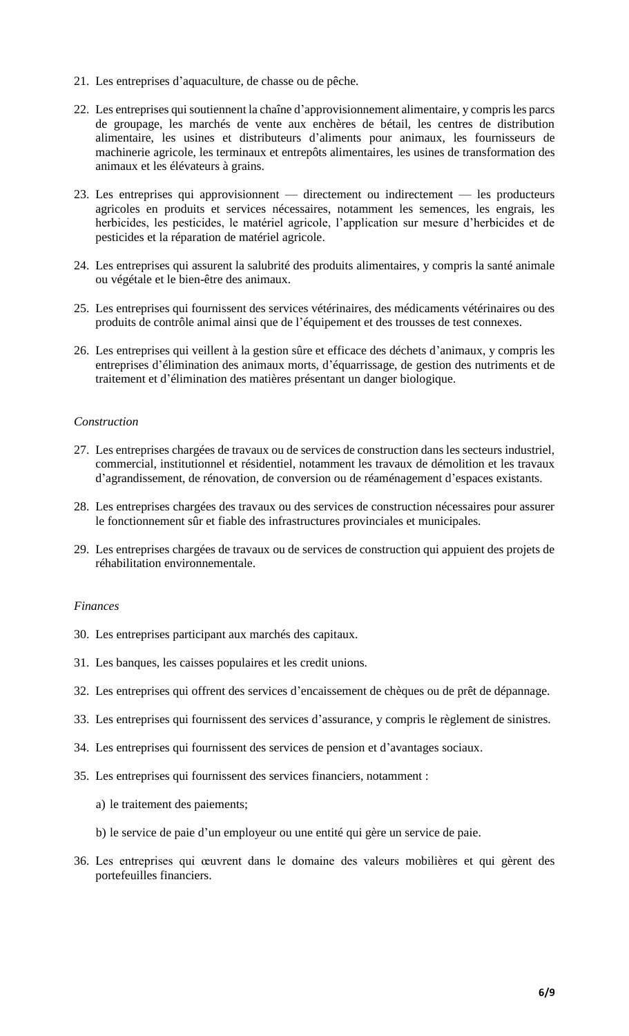- 21. Les entreprises d'aquaculture, de chasse ou de pêche.
- 22. Les entreprises qui soutiennent la chaîne d'approvisionnement alimentaire, y compris les parcs de groupage, les marchés de vente aux enchères de bétail, les centres de distribution alimentaire, les usines et distributeurs d'aliments pour animaux, les fournisseurs de machinerie agricole, les terminaux et entrepôts alimentaires, les usines de transformation des animaux et les élévateurs à grains.
- 23. Les entreprises qui approvisionnent directement ou indirectement les producteurs agricoles en produits et services nécessaires, notamment les semences, les engrais, les herbicides, les pesticides, le matériel agricole, l'application sur mesure d'herbicides et de pesticides et la réparation de matériel agricole.
- 24. Les entreprises qui assurent la salubrité des produits alimentaires, y compris la santé animale ou végétale et le bien-être des animaux.
- 25. Les entreprises qui fournissent des services vétérinaires, des médicaments vétérinaires ou des produits de contrôle animal ainsi que de l'équipement et des trousses de test connexes.
- 26. Les entreprises qui veillent à la gestion sûre et efficace des déchets d'animaux, y compris les entreprises d'élimination des animaux morts, d'équarrissage, de gestion des nutriments et de traitement et d'élimination des matières présentant un danger biologique.

## *Construction*

- 27. Les entreprises chargées de travaux ou de services de construction dans les secteurs industriel, commercial, institutionnel et résidentiel, notamment les travaux de démolition et les travaux d'agrandissement, de rénovation, de conversion ou de réaménagement d'espaces existants.
- 28. Les entreprises chargées des travaux ou des services de construction nécessaires pour assurer le fonctionnement sûr et fiable des infrastructures provinciales et municipales.
- 29. Les entreprises chargées de travaux ou de services de construction qui appuient des projets de réhabilitation environnementale.

#### *Finances*

- 30. Les entreprises participant aux marchés des capitaux.
- 31. Les banques, les caisses populaires et les credit unions.
- 32. Les entreprises qui offrent des services d'encaissement de chèques ou de prêt de dépannage.
- 33. Les entreprises qui fournissent des services d'assurance, y compris le règlement de sinistres.
- 34. Les entreprises qui fournissent des services de pension et d'avantages sociaux.
- 35. Les entreprises qui fournissent des services financiers, notamment :
	- a) le traitement des paiements;
	- b) le service de paie d'un employeur ou une entité qui gère un service de paie.
- 36. Les entreprises qui œuvrent dans le domaine des valeurs mobilières et qui gèrent des portefeuilles financiers.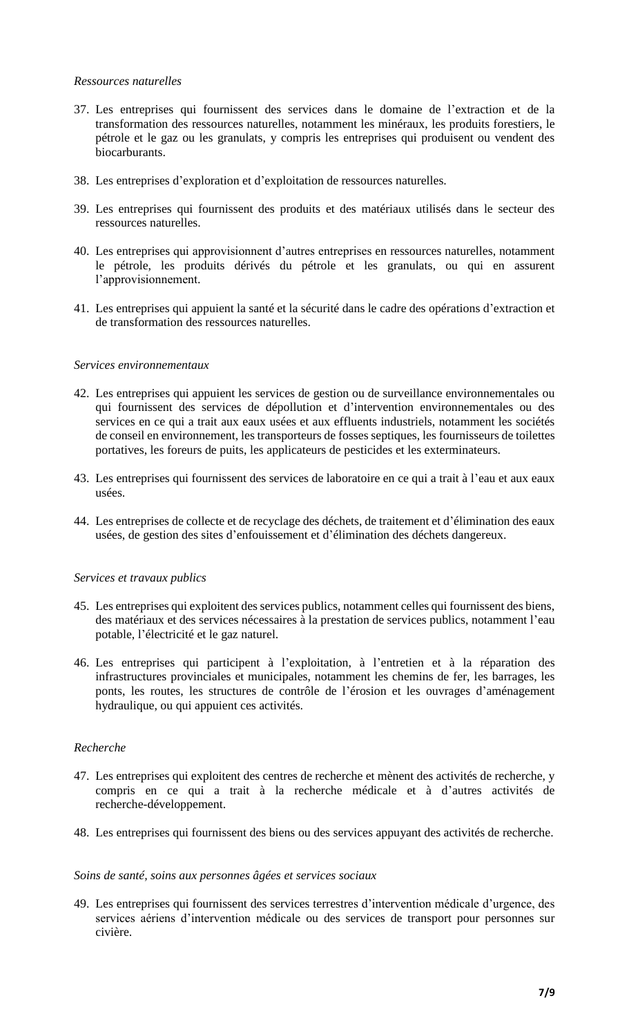## *Ressources naturelles*

- 37. Les entreprises qui fournissent des services dans le domaine de l'extraction et de la transformation des ressources naturelles, notamment les minéraux, les produits forestiers, le pétrole et le gaz ou les granulats, y compris les entreprises qui produisent ou vendent des biocarburants.
- 38. Les entreprises d'exploration et d'exploitation de ressources naturelles.
- 39. Les entreprises qui fournissent des produits et des matériaux utilisés dans le secteur des ressources naturelles.
- 40. Les entreprises qui approvisionnent d'autres entreprises en ressources naturelles, notamment le pétrole, les produits dérivés du pétrole et les granulats, ou qui en assurent l'approvisionnement.
- 41. Les entreprises qui appuient la santé et la sécurité dans le cadre des opérations d'extraction et de transformation des ressources naturelles.

## *Services environnementaux*

- 42. Les entreprises qui appuient les services de gestion ou de surveillance environnementales ou qui fournissent des services de dépollution et d'intervention environnementales ou des services en ce qui a trait aux eaux usées et aux effluents industriels, notamment les sociétés de conseil en environnement, les transporteurs de fosses septiques, les fournisseurs de toilettes portatives, les foreurs de puits, les applicateurs de pesticides et les exterminateurs.
- 43. Les entreprises qui fournissent des services de laboratoire en ce qui a trait à l'eau et aux eaux usées.
- 44. Les entreprises de collecte et de recyclage des déchets, de traitement et d'élimination des eaux usées, de gestion des sites d'enfouissement et d'élimination des déchets dangereux.

## *Services et travaux publics*

- 45. Les entreprises qui exploitent des services publics, notamment celles qui fournissent des biens, des matériaux et des services nécessaires à la prestation de services publics, notamment l'eau potable, l'électricité et le gaz naturel.
- 46. Les entreprises qui participent à l'exploitation, à l'entretien et à la réparation des infrastructures provinciales et municipales, notamment les chemins de fer, les barrages, les ponts, les routes, les structures de contrôle de l'érosion et les ouvrages d'aménagement hydraulique, ou qui appuient ces activités.

#### *Recherche*

- 47. Les entreprises qui exploitent des centres de recherche et mènent des activités de recherche, y compris en ce qui a trait à la recherche médicale et à d'autres activités de recherche-développement.
- 48. Les entreprises qui fournissent des biens ou des services appuyant des activités de recherche.

#### *Soins de santé, soins aux personnes âgées et services sociaux*

49. Les entreprises qui fournissent des services terrestres d'intervention médicale d'urgence, des services aériens d'intervention médicale ou des services de transport pour personnes sur civière.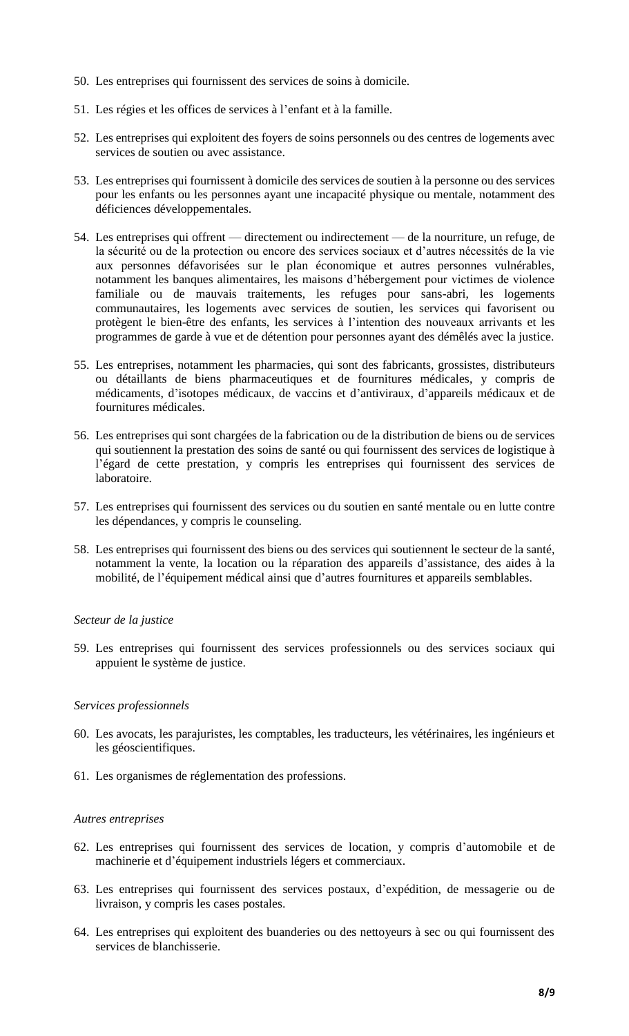- 50. Les entreprises qui fournissent des services de soins à domicile.
- 51. Les régies et les offices de services à l'enfant et à la famille.
- 52. Les entreprises qui exploitent des foyers de soins personnels ou des centres de logements avec services de soutien ou avec assistance.
- 53. Les entreprises qui fournissent à domicile des services de soutien à la personne ou des services pour les enfants ou les personnes ayant une incapacité physique ou mentale, notamment des déficiences développementales.
- 54. Les entreprises qui offrent directement ou indirectement de la nourriture, un refuge, de la sécurité ou de la protection ou encore des services sociaux et d'autres nécessités de la vie aux personnes défavorisées sur le plan économique et autres personnes vulnérables, notamment les banques alimentaires, les maisons d'hébergement pour victimes de violence familiale ou de mauvais traitements, les refuges pour sans-abri, les logements communautaires, les logements avec services de soutien, les services qui favorisent ou protègent le bien-être des enfants, les services à l'intention des nouveaux arrivants et les programmes de garde à vue et de détention pour personnes ayant des démêlés avec la justice.
- 55. Les entreprises, notamment les pharmacies, qui sont des fabricants, grossistes, distributeurs ou détaillants de biens pharmaceutiques et de fournitures médicales, y compris de médicaments, d'isotopes médicaux, de vaccins et d'antiviraux, d'appareils médicaux et de fournitures médicales.
- 56. Les entreprises qui sont chargées de la fabrication ou de la distribution de biens ou de services qui soutiennent la prestation des soins de santé ou qui fournissent des services de logistique à l'égard de cette prestation, y compris les entreprises qui fournissent des services de laboratoire.
- 57. Les entreprises qui fournissent des services ou du soutien en santé mentale ou en lutte contre les dépendances, y compris le counseling.
- 58. Les entreprises qui fournissent des biens ou des services qui soutiennent le secteur de la santé, notamment la vente, la location ou la réparation des appareils d'assistance, des aides à la mobilité, de l'équipement médical ainsi que d'autres fournitures et appareils semblables.

## *Secteur de la justice*

59. Les entreprises qui fournissent des services professionnels ou des services sociaux qui appuient le système de justice.

#### *Services professionnels*

- 60. Les avocats, les parajuristes, les comptables, les traducteurs, les vétérinaires, les ingénieurs et les géoscientifiques.
- 61. Les organismes de réglementation des professions.

#### *Autres entreprises*

- 62. Les entreprises qui fournissent des services de location, y compris d'automobile et de machinerie et d'équipement industriels légers et commerciaux.
- 63. Les entreprises qui fournissent des services postaux, d'expédition, de messagerie ou de livraison, y compris les cases postales.
- 64. Les entreprises qui exploitent des buanderies ou des nettoyeurs à sec ou qui fournissent des services de blanchisserie.